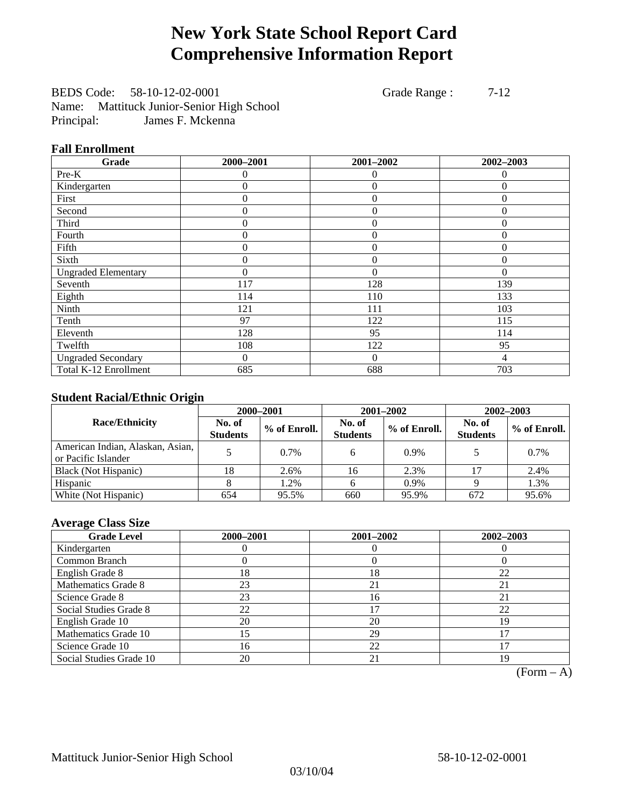# **New York State School Report Card Comprehensive Information Report**

BEDS Code: 58-10-12-02-0001 Grade Range : 7-12 Name: Mattituck Junior-Senior High School Principal: James F. Mckenna

#### **Fall Enrollment**

| Grade                      | 2000-2001 | 2001-2002      | 2002-2003 |
|----------------------------|-----------|----------------|-----------|
| $Pre-K$                    | $^{(1)}$  | 0              | $\theta$  |
| Kindergarten               | 0         | $\theta$       | $\Omega$  |
| First                      | $\theta$  | $\theta$       | $\Omega$  |
| Second                     | 0         | $\overline{0}$ | $\Omega$  |
| Third                      | 0         | $\overline{0}$ | $\Omega$  |
| Fourth                     | 0         | $\theta$       | $\theta$  |
| Fifth                      | 0         | $\theta$       | $\theta$  |
| Sixth                      | 0         | $\overline{0}$ | $\theta$  |
| <b>Ungraded Elementary</b> | $\theta$  | $\theta$       | 0         |
| Seventh                    | 117       | 128            | 139       |
| Eighth                     | 114       | 110            | 133       |
| Ninth                      | 121       | 111            | 103       |
| Tenth                      | 97        | 122            | 115       |
| Eleventh                   | 128       | 95             | 114       |
| Twelfth                    | 108       | 122            | 95        |
| <b>Ungraded Secondary</b>  | $\Omega$  | $\overline{0}$ | 4         |
| Total K-12 Enrollment      | 685       | 688            | 703       |

### **Student Racial/Ethnic Origin**

|                                                         | 2000-2001<br>2001-2002<br>$2002 - 2003$ |              |                           |              |                           |                |
|---------------------------------------------------------|-----------------------------------------|--------------|---------------------------|--------------|---------------------------|----------------|
| <b>Race/Ethnicity</b>                                   | No. of<br><b>Students</b>               | % of Enroll. | No. of<br><b>Students</b> | % of Enroll. | No. of<br><b>Students</b> | $%$ of Enroll. |
| American Indian, Alaskan, Asian,<br>or Pacific Islander |                                         | $0.7\%$      |                           | 0.9%         |                           | $0.7\%$        |
| Black (Not Hispanic)                                    | 18                                      | 2.6%         | 16                        | 2.3%         |                           | 2.4%           |
| Hispanic                                                |                                         | 1.2%         |                           | 0.9%         |                           | 1.3%           |
| White (Not Hispanic)                                    | 654                                     | 95.5%        | 660                       | 95.9%        | 672                       | 95.6%          |

### **Average Class Size**

| <b>Grade Level</b>      | 2000-2001 | 2001-2002 | 2002-2003 |
|-------------------------|-----------|-----------|-----------|
| Kindergarten            |           |           |           |
| Common Branch           |           |           |           |
| English Grade 8         | 18        | 18        | 22        |
| Mathematics Grade 8     | 23        | 21        | 21        |
| Science Grade 8         | 23        | 16        | 21        |
| Social Studies Grade 8  | 22        |           | 22        |
| English Grade 10        | 20        | 20        | 19        |
| Mathematics Grade 10    | 5         | 29        |           |
| Science Grade 10        | 16        | 22        |           |
| Social Studies Grade 10 | 20        | 21        | 19        |

 $(Form - A)$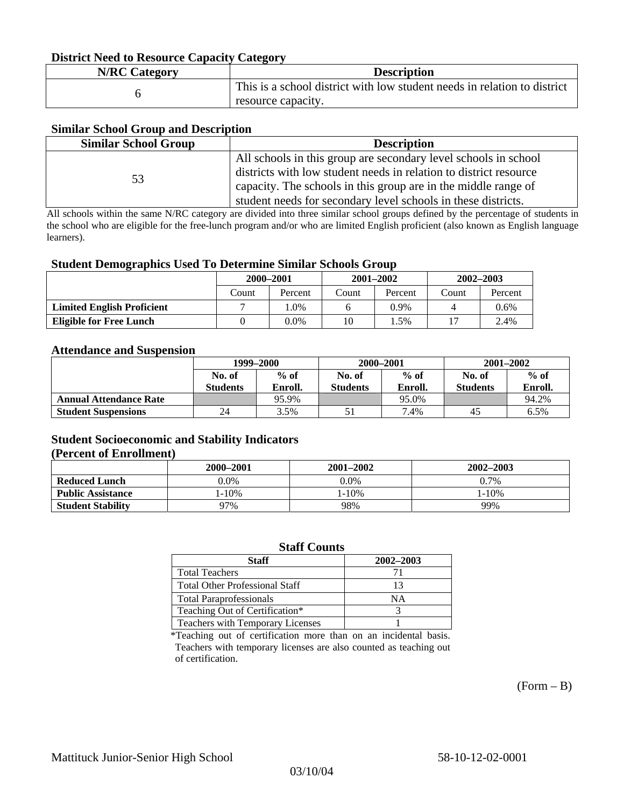#### **District Need to Resource Capacity Category**

| <b>N/RC Category</b> | <b>Description</b>                                                                             |
|----------------------|------------------------------------------------------------------------------------------------|
|                      | This is a school district with low student needs in relation to district<br>resource capacity. |

#### **Similar School Group and Description**

| <b>Similar School Group</b> | <b>Description</b>                                                |
|-----------------------------|-------------------------------------------------------------------|
|                             | All schools in this group are secondary level schools in school   |
| 53                          | districts with low student needs in relation to district resource |
|                             | capacity. The schools in this group are in the middle range of    |
|                             | student needs for secondary level schools in these districts.     |

All schools within the same N/RC category are divided into three similar school groups defined by the percentage of students in the school who are eligible for the free-lunch program and/or who are limited English proficient (also known as English language learners).

#### **Student Demographics Used To Determine Similar Schools Group**

|                                   | 2000-2001 |         | $2001 - 2002$ |         | $2002 - 2003$ |         |
|-----------------------------------|-----------|---------|---------------|---------|---------------|---------|
|                                   | Count     | Percent | Count         | Percent | Count         | Percent |
| <b>Limited English Proficient</b> |           | $0\%$   |               | 0.9%    |               | $0.6\%$ |
| Eligible for Free Lunch           |           | 0.0%    | 10            | .5%     |               | 2.4%    |

#### **Attendance and Suspension**

|                               | 1999–2000       |         | 2000-2001 |         | $2001 - 2002$   |         |
|-------------------------------|-----------------|---------|-----------|---------|-----------------|---------|
|                               | No. of          | $%$ of  | No. of    | $%$ of  | No. of          | $%$ of  |
|                               | <b>Students</b> | Enroll. | Students  | Enroll. | <b>Students</b> | Enroll. |
| <b>Annual Attendance Rate</b> |                 | 95.9%   |           | 95.0%   |                 | 94.2%   |
| <b>Student Suspensions</b>    | 24              | 3.5%    |           | 7.4%    | 45              | 6.5%    |

### **Student Socioeconomic and Stability Indicators (Percent of Enrollment)**

|                          | 2000-2001  | 2001–2002  | 2002-2003 |
|--------------------------|------------|------------|-----------|
| <b>Reduced Lunch</b>     | $0.0\%$    | $0.0\%$    | 0.7%      |
| <b>Public Assistance</b> | $1 - 10\%$ | $1 - 10\%$ | $-10%$    |
| <b>Student Stability</b> | 97%        | 98%        | 99%       |

#### **Staff Counts**

| Staff                                   | 2002-2003 |
|-----------------------------------------|-----------|
| <b>Total Teachers</b>                   |           |
| <b>Total Other Professional Staff</b>   | 13        |
| <b>Total Paraprofessionals</b>          | NΑ        |
| Teaching Out of Certification*          |           |
| <b>Teachers with Temporary Licenses</b> |           |

\*Teaching out of certification more than on an incidental basis. Teachers with temporary licenses are also counted as teaching out of certification.

 $(Form - B)$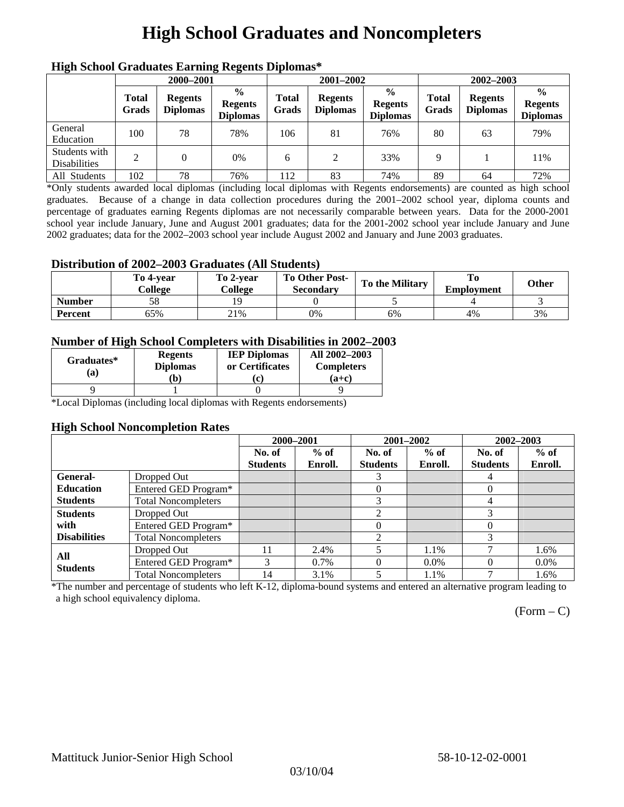# **High School Graduates and Noncompleters**

| ніді эспол этайнакі патінід кеденія вірюшая |                       |                                   |                                                    |                       |                                   |                                                    |                       |                                   |                                                    |  |
|---------------------------------------------|-----------------------|-----------------------------------|----------------------------------------------------|-----------------------|-----------------------------------|----------------------------------------------------|-----------------------|-----------------------------------|----------------------------------------------------|--|
|                                             | 2000-2001             |                                   |                                                    |                       | 2001-2002                         |                                                    |                       | 2002-2003                         |                                                    |  |
|                                             | <b>Total</b><br>Grads | <b>Regents</b><br><b>Diplomas</b> | $\frac{0}{0}$<br><b>Regents</b><br><b>Diplomas</b> | <b>Total</b><br>Grads | <b>Regents</b><br><b>Diplomas</b> | $\frac{6}{6}$<br><b>Regents</b><br><b>Diplomas</b> | <b>Total</b><br>Grads | <b>Regents</b><br><b>Diplomas</b> | $\frac{0}{0}$<br><b>Regents</b><br><b>Diplomas</b> |  |
| General<br>Education                        | 100                   | 78                                | 78%                                                | 106                   | 81                                | 76%                                                | 80                    | 63                                | 79%                                                |  |
| Students with<br><b>Disabilities</b>        |                       |                                   | $0\%$                                              | 6                     | 2                                 | 33%                                                | Q                     |                                   | 11%                                                |  |
| All Students                                | 102                   | 78                                | 76%                                                | 112                   | 83                                | 74%                                                | 89                    | 64                                | 72%                                                |  |

### **High School Graduates Earning Regents Diplomas\***

\*Only students awarded local diplomas (including local diplomas with Regents endorsements) are counted as high school graduates. Because of a change in data collection procedures during the 2001–2002 school year, diploma counts and percentage of graduates earning Regents diplomas are not necessarily comparable between years. Data for the 2000-2001 school year include January, June and August 2001 graduates; data for the 2001-2002 school year include January and June 2002 graduates; data for the 2002–2003 school year include August 2002 and January and June 2003 graduates.

### **Distribution of 2002–2003 Graduates (All Students)**

|               | To 4-vear<br>College | To 2-vear<br>College | <b>To Other Post-</b><br><b>Secondary</b> | <b>To the Military</b> | <b>Employment</b> | Other |
|---------------|----------------------|----------------------|-------------------------------------------|------------------------|-------------------|-------|
| <b>Number</b> |                      |                      |                                           |                        |                   |       |
| Percent       | <b>55%</b>           | 21%                  | 0%                                        | 6%                     | 4%                | 3%    |

### **Number of High School Completers with Disabilities in 2002–2003**

| Graduates*<br>(a) | <b>Regents</b><br><b>Diplomas</b><br>b) | <b>IEP Diplomas</b><br>or Certificates<br>'ci | All 2002-2003<br><b>Completers</b><br>$(a+c)$ |
|-------------------|-----------------------------------------|-----------------------------------------------|-----------------------------------------------|
|                   |                                         |                                               |                                               |

\*Local Diplomas (including local diplomas with Regents endorsements)

#### **High School Noncompletion Rates**

|                     |                            | 2000-2001       |         |                 | 2001-2002 | 2002-2003       |         |
|---------------------|----------------------------|-----------------|---------|-----------------|-----------|-----------------|---------|
|                     |                            | No. of          | $%$ of  | No. of          | $%$ of    | No. of          | $%$ of  |
|                     |                            | <b>Students</b> | Enroll. | <b>Students</b> | Enroll.   | <b>Students</b> | Enroll. |
| General-            | Dropped Out                |                 |         |                 |           | 4               |         |
| <b>Education</b>    | Entered GED Program*       |                 |         | 0               |           | $\theta$        |         |
| <b>Students</b>     | <b>Total Noncompleters</b> |                 |         | 3               |           | 4               |         |
| <b>Students</b>     | Dropped Out                |                 |         | 2               |           | 3               |         |
| with                | Entered GED Program*       |                 |         | $\Omega$        |           | 0               |         |
| <b>Disabilities</b> | <b>Total Noncompleters</b> |                 |         | $\mathfrak{D}$  |           |                 |         |
| All                 | Dropped Out                | 11              | 2.4%    |                 | 1.1%      |                 | 1.6%    |
| <b>Students</b>     | Entered GED Program*       | 3               | $0.7\%$ |                 | $0.0\%$   | $\Omega$        | $0.0\%$ |
|                     | <b>Total Noncompleters</b> | 14              | 3.1%    | 5               | 1.1%      | −               | 1.6%    |

\*The number and percentage of students who left K-12, diploma-bound systems and entered an alternative program leading to a high school equivalency diploma.

 $(Form - C)$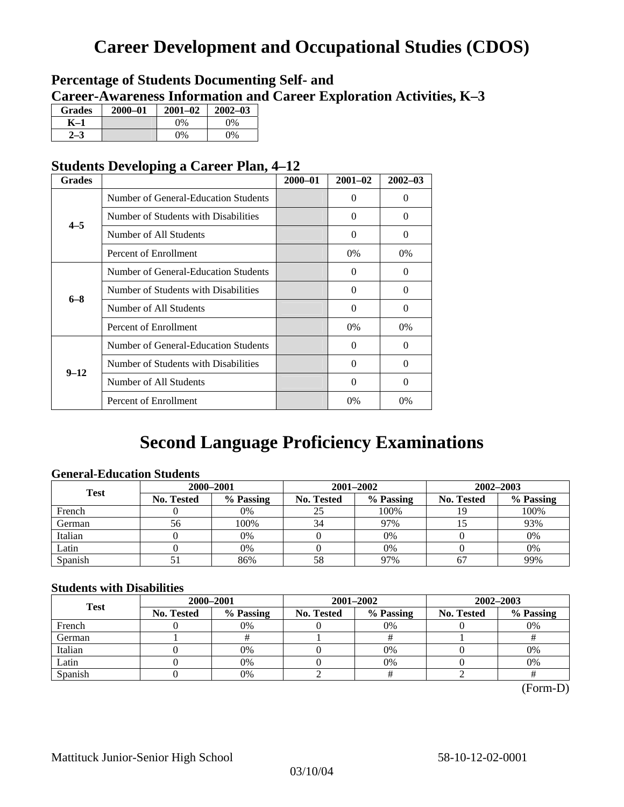## **Career Development and Occupational Studies (CDOS)**

### **Percentage of Students Documenting Self- and Career-Awareness Information and Career Exploration Activities, K–3**

| <b>Grades</b> | 2000-01 | $2001 - 02$ | $2002 - 03$ |
|---------------|---------|-------------|-------------|
| K–1           |         | $0\%$       | $0\%$       |
|               |         | $0\%$       | $0\%$       |

### **Students Developing a Career Plan, 4–12**

| <b>Grades</b> |                                      | $2000 - 01$ | $2001 - 02$ | $2002 - 03$ |
|---------------|--------------------------------------|-------------|-------------|-------------|
|               | Number of General-Education Students |             | $\Omega$    | $\theta$    |
| $4 - 5$       | Number of Students with Disabilities |             | 0           | $\Omega$    |
|               | Number of All Students               |             | $\Omega$    | $\Omega$    |
|               | Percent of Enrollment                |             | $0\%$       | 0%          |
|               | Number of General-Education Students |             | 0           | 0           |
| $6 - 8$       | Number of Students with Disabilities |             | $\theta$    | $\Omega$    |
|               | Number of All Students               |             | $\theta$    | $\Omega$    |
|               | Percent of Enrollment                |             | $0\%$       | $0\%$       |
|               | Number of General-Education Students |             | 0           | $\Omega$    |
| $9 - 12$      | Number of Students with Disabilities |             | 0           | $\Omega$    |
|               | Number of All Students               |             | 0           | $\Omega$    |
|               | Percent of Enrollment                |             | $0\%$       | $0\%$       |

## **Second Language Proficiency Examinations**

### **General-Education Students**

| <b>Test</b> | 2000-2001         |           |                   | 2001-2002 | 2002-2003         |           |  |
|-------------|-------------------|-----------|-------------------|-----------|-------------------|-----------|--|
|             | <b>No. Tested</b> | % Passing | <b>No. Tested</b> | % Passing | <b>No. Tested</b> | % Passing |  |
| French      |                   | 0%        | 25                | 100%      |                   | 100%      |  |
| German      | 56                | 100%      | 34                | 97%       |                   | 93%       |  |
| Italian     |                   | 0%        |                   | $0\%$     |                   | 0%        |  |
| Latin       |                   | 0%        |                   | $0\%$     |                   | 0%        |  |
| Spanish     |                   | 86%       | 58                | 97%       | 67                | 99%       |  |

### **Students with Disabilities**

| <b>Test</b> | 2000-2001                                                 |    | 2001-2002         | 2002-2003 |    |  |
|-------------|-----------------------------------------------------------|----|-------------------|-----------|----|--|
|             | % Passing<br>% Passing<br><b>No. Tested</b><br>No. Tested |    | <b>No. Tested</b> | % Passing |    |  |
| French      |                                                           | 0% | $0\%$             |           | 0% |  |
| German      |                                                           |    |                   |           |    |  |
| Italian     |                                                           | 0% | $0\%$             |           | 0% |  |
| Latin       |                                                           | 0% | 0%                |           | 0% |  |
| Spanish     |                                                           | 0% |                   |           |    |  |

(Form-D)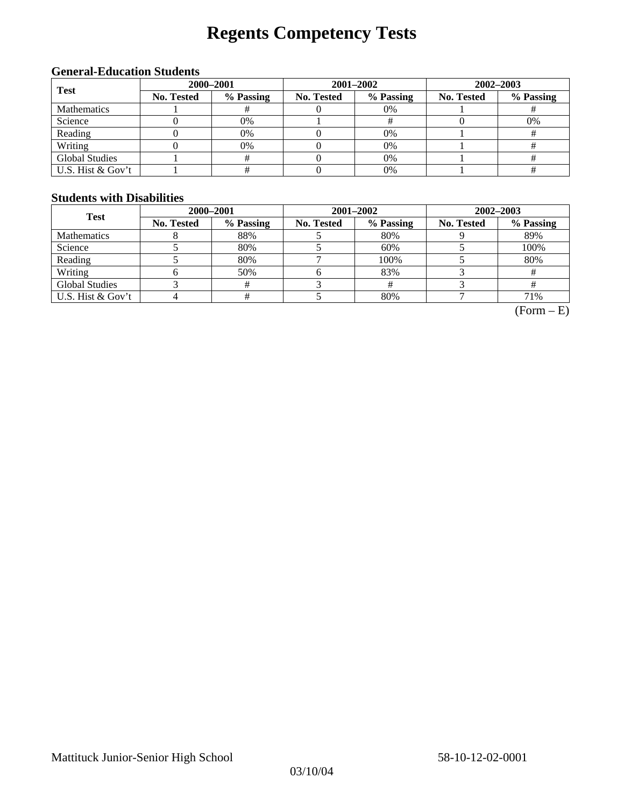# **Regents Competency Tests**

### **General-Education Students**

| <b>Test</b>           | 2000-2001  |           |            | 2001-2002 | 2002-2003  |           |  |
|-----------------------|------------|-----------|------------|-----------|------------|-----------|--|
|                       | No. Tested | % Passing | No. Tested | % Passing | No. Tested | % Passing |  |
| <b>Mathematics</b>    |            |           |            | $0\%$     |            |           |  |
| Science               |            | 0%        |            |           |            | 0%        |  |
| Reading               |            | 0%        |            | $0\%$     |            |           |  |
| Writing               |            | 0%        |            | $0\%$     |            |           |  |
| <b>Global Studies</b> |            |           |            | 0%        |            |           |  |
| U.S. Hist & Gov't     |            |           |            | 0%        |            |           |  |

#### **Students with Disabilities**

| <b>Test</b>           | 2000-2001  |           |            | 2001-2002                                                   | 2002-2003 |      |  |
|-----------------------|------------|-----------|------------|-------------------------------------------------------------|-----------|------|--|
|                       | No. Tested | % Passing | No. Tested | % Passing<br><b>No. Tested</b><br>80%<br>60%<br>100%<br>83% | % Passing |      |  |
| <b>Mathematics</b>    |            | 88%       |            |                                                             |           | 89%  |  |
| Science               |            | 80%       |            |                                                             |           | 100% |  |
| Reading               |            | 80%       |            |                                                             |           | 80%  |  |
| Writing               |            | 50%       |            |                                                             |           |      |  |
| <b>Global Studies</b> |            |           |            |                                                             |           |      |  |
| U.S. Hist & Gov't     |            |           |            | 80%                                                         |           | 71%  |  |

 $(Form - E)$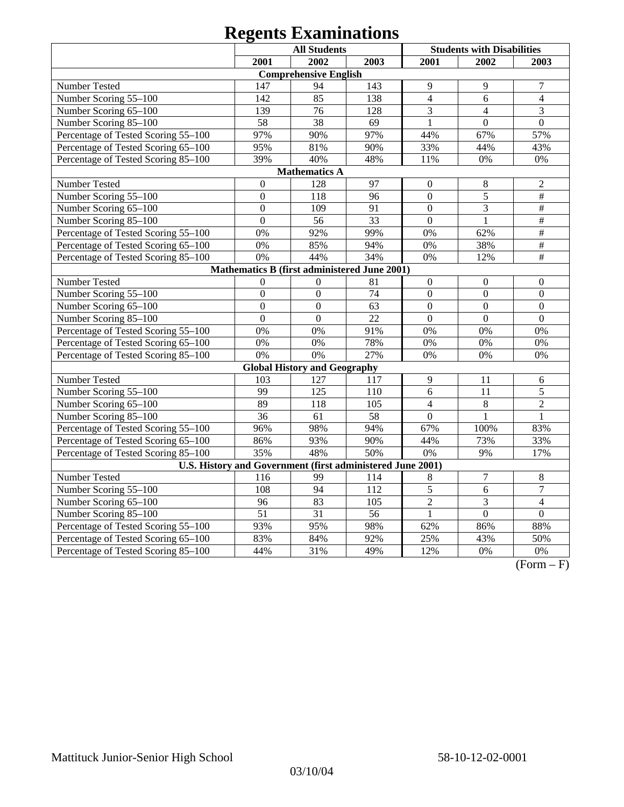|                                                            | <b>All Students</b> |                                              |                 | <b>Students with Disabilities</b> |                  |                           |  |
|------------------------------------------------------------|---------------------|----------------------------------------------|-----------------|-----------------------------------|------------------|---------------------------|--|
|                                                            | 2001                | 2002                                         | 2003            | 2001                              | 2002             | 2003                      |  |
|                                                            |                     | <b>Comprehensive English</b>                 |                 |                                   |                  |                           |  |
| Number Tested                                              | 147                 | 94                                           | 143             | 9                                 | 9                | $\tau$                    |  |
| Number Scoring 55-100                                      | 142                 | 85                                           | 138             | $\overline{4}$                    | 6                | $\overline{4}$            |  |
| Number Scoring 65-100                                      | 139                 | 76                                           | 128             | $\overline{3}$                    | $\overline{4}$   | 3                         |  |
| Number Scoring 85-100                                      | 58                  | $\overline{38}$                              | 69              | $\overline{1}$                    | $\overline{0}$   | $\overline{0}$            |  |
| Percentage of Tested Scoring 55-100                        | 97%                 | 90%                                          | 97%             | 44%                               | 67%              | 57%                       |  |
| Percentage of Tested Scoring 65-100                        | 95%                 | 81%                                          | 90%             | 33%                               | 44%              | 43%                       |  |
| Percentage of Tested Scoring 85-100                        | 39%                 | 40%                                          | 48%             | 11%                               | 0%               | 0%                        |  |
| <b>Mathematics A</b>                                       |                     |                                              |                 |                                   |                  |                           |  |
| Number Tested                                              | $\mathbf{0}$        | 128                                          | 97              | $\mathbf{0}$                      | 8                | $\mathfrak{2}$            |  |
| Number Scoring 55-100                                      | $\mathbf{0}$        | 118                                          | 96              | $\overline{0}$                    | $\overline{5}$   | $\overline{\overline{H}}$ |  |
| Number Scoring 65-100                                      | $\overline{0}$      | 109                                          | 91              | $\overline{0}$                    | $\overline{3}$   | $\#$                      |  |
| Number Scoring 85-100                                      | $\overline{0}$      | 56                                           | 33              | $\overline{0}$                    | $\mathbf{1}$     | #                         |  |
| Percentage of Tested Scoring 55-100                        | 0%                  | 92%                                          | 99%             | 0%                                | 62%              | $\overline{\#}$           |  |
| Percentage of Tested Scoring 65-100                        | 0%                  | 85%                                          | 94%             | 0%                                | 38%              | $\#$                      |  |
| Percentage of Tested Scoring 85-100                        | 0%                  | 44%                                          | 34%             | 0%                                | 12%              | $\#$                      |  |
|                                                            |                     | Mathematics B (first administered June 2001) |                 |                                   |                  |                           |  |
| Number Tested                                              | $\mathbf{0}$        | $\boldsymbol{0}$                             | 81              | $\overline{0}$                    | $\overline{0}$   | $\boldsymbol{0}$          |  |
| Number Scoring 55-100                                      | $\overline{0}$      | $\overline{0}$                               | 74              | $\overline{0}$                    | $\overline{0}$   | $\overline{0}$            |  |
| Number Scoring 65-100                                      | $\overline{0}$      | $\overline{0}$                               | 63              | $\overline{0}$                    | $\overline{0}$   | $\mathbf{0}$              |  |
| Number Scoring 85-100                                      | $\overline{0}$      | $\mathbf{0}$                                 | 22              | $\overline{0}$                    | $\boldsymbol{0}$ | $\boldsymbol{0}$          |  |
| Percentage of Tested Scoring 55-100                        | 0%                  | 0%                                           | 91%             | 0%                                | 0%               | 0%                        |  |
| Percentage of Tested Scoring 65-100                        | 0%                  | 0%                                           | 78%             | 0%                                | 0%               | 0%                        |  |
| Percentage of Tested Scoring 85-100                        | 0%                  | 0%                                           | 27%             | 0%                                | 0%               | 0%                        |  |
|                                                            |                     | <b>Global History and Geography</b>          |                 |                                   |                  |                           |  |
| <b>Number Tested</b>                                       | 103                 | 127                                          | 117             | 9                                 | 11               | 6                         |  |
| Number Scoring 55-100                                      | 99                  | 125                                          | 110             | $\overline{6}$                    | 11               | 5                         |  |
| Number Scoring 65-100                                      | 89                  | 118                                          | 105             | $\overline{4}$                    | 8                | $\overline{2}$            |  |
| Number Scoring 85-100                                      | $\overline{36}$     | $\overline{61}$                              | $\overline{58}$ | $\overline{0}$                    | 1                | 1                         |  |
| Percentage of Tested Scoring 55-100                        | 96%                 | 98%                                          | 94%             | 67%                               | 100%             | 83%                       |  |
| Percentage of Tested Scoring 65-100                        | 86%                 | 93%                                          | 90%             | 44%                               | 73%              | 33%                       |  |
| Percentage of Tested Scoring 85-100                        | 35%                 | 48%                                          | 50%             | $\overline{0\%}$                  | 9%               | 17%                       |  |
| U.S. History and Government (first administered June 2001) |                     |                                              |                 |                                   |                  |                           |  |
| Number Tested                                              | 116                 | 99                                           | 114             | $8\phantom{1}$                    | $\tau$           | $8\phantom{1}$            |  |
| Number Scoring 55-100                                      | 108                 | 94                                           | 112             | 5                                 | 6                | $\overline{7}$            |  |
| Number Scoring 65-100                                      | 96                  | 83                                           | 105             | $\overline{2}$                    | 3                | $\overline{4}$            |  |
| Number Scoring 85-100                                      | $\overline{51}$     | $\overline{31}$                              | $\overline{56}$ | $\mathbf{1}$                      | $\overline{0}$   | $\theta$                  |  |
| Percentage of Tested Scoring 55-100                        | 93%                 | 95%                                          | 98%             | 62%                               | 86%              | 88%                       |  |
| Percentage of Tested Scoring 65-100                        | 83%                 | 84%                                          | 92%             | 25%                               | 43%              | 50%                       |  |
| Percentage of Tested Scoring 85-100                        | 44%                 | 31%                                          | 49%             | 12%                               | 0%               | 0%                        |  |

 $(Form - F)$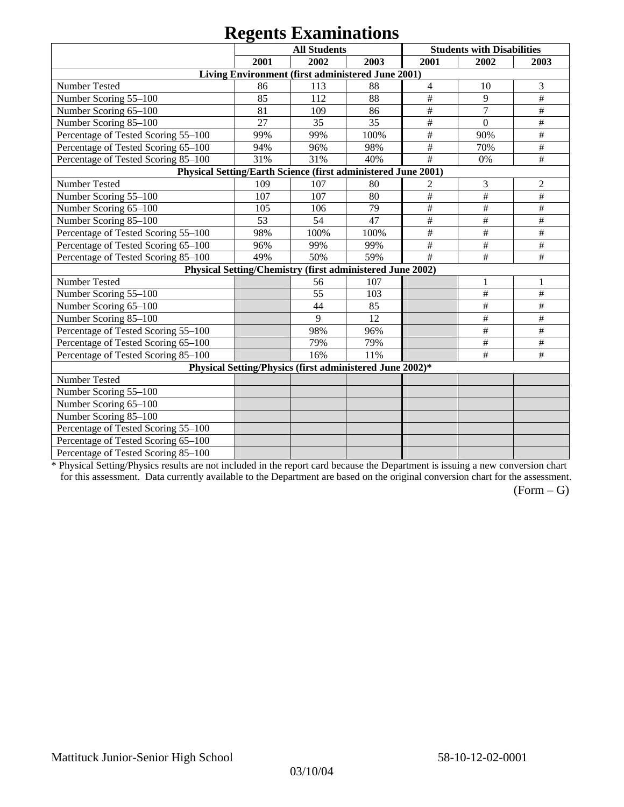|                                                               |      | <b>All Students</b> |                                                           |                | <b>Students with Disabilities</b> |                |
|---------------------------------------------------------------|------|---------------------|-----------------------------------------------------------|----------------|-----------------------------------|----------------|
|                                                               | 2001 | 2002                | 2003                                                      | 2001           | 2002                              | 2003           |
|                                                               |      |                     | Living Environment (first administered June 2001)         |                |                                   |                |
| Number Tested                                                 | 86   | 113                 | 88                                                        | $\overline{4}$ | 10                                | 3              |
| Number Scoring 55-100                                         | 85   | 112                 | 88                                                        | #              | 9                                 | #              |
| Number Scoring 65-100                                         | 81   | 109                 | 86                                                        | $\#$           | $\overline{7}$                    | $\#$           |
| Number Scoring 85-100                                         | 27   | 35                  | 35                                                        | #              | $\boldsymbol{0}$                  | $\#$           |
| Percentage of Tested Scoring 55-100                           | 99%  | 99%                 | 100%                                                      | $\#$           | 90%                               | $\#$           |
| Percentage of Tested Scoring 65-100                           | 94%  | 96%                 | 98%                                                       | $\#$           | 70%                               | $\#$           |
| Percentage of Tested Scoring 85-100                           | 31%  | 31%                 | 40%                                                       | #              | 0%                                | #              |
| Physical Setting/Earth Science (first administered June 2001) |      |                     |                                                           |                |                                   |                |
| Number Tested                                                 | 109  | 107                 | 80                                                        | 2              | 3                                 | $\overline{2}$ |
| Number Scoring 55-100                                         | 107  | 107                 | 80                                                        | $\#$           | #                                 | #              |
| Number Scoring 65-100                                         | 105  | 106                 | 79                                                        | $\#$           | $\#$                              | #              |
| Number Scoring 85-100                                         | 53   | 54                  | 47                                                        | $\#$           | $\#$                              | $\#$           |
| Percentage of Tested Scoring 55-100                           | 98%  | 100%                | 100%                                                      | #              | $\#$                              | #              |
| Percentage of Tested Scoring 65-100                           | 96%  | 99%                 | 99%                                                       | #              | $\#$                              | #              |
| Percentage of Tested Scoring 85-100                           | 49%  | 50%                 | 59%                                                       | #              | #                                 | #              |
|                                                               |      |                     | Physical Setting/Chemistry (first administered June 2002) |                |                                   |                |
| Number Tested                                                 |      | 56                  | 107                                                       |                |                                   |                |
| Number Scoring 55-100                                         |      | 55                  | 103                                                       |                | $\#$                              | $\#$           |
| Number Scoring 65-100                                         |      | 44                  | 85                                                        |                | $\#$                              | #              |
| Number Scoring 85-100                                         |      | 9                   | 12                                                        |                | $\#$                              | $\#$           |
| Percentage of Tested Scoring 55-100                           |      | 98%                 | 96%                                                       |                | $\#$                              | $\#$           |
| Percentage of Tested Scoring 65-100                           |      | 79%                 | 79%                                                       |                | $\#$                              | $\#$           |
| Percentage of Tested Scoring 85-100                           |      | 16%                 | 11%                                                       |                | #                                 | $\#$           |
|                                                               |      |                     | Physical Setting/Physics (first administered June 2002)*  |                |                                   |                |
| Number Tested                                                 |      |                     |                                                           |                |                                   |                |
| Number Scoring 55-100                                         |      |                     |                                                           |                |                                   |                |
| Number Scoring 65-100                                         |      |                     |                                                           |                |                                   |                |
| Number Scoring 85-100                                         |      |                     |                                                           |                |                                   |                |
| Percentage of Tested Scoring 55-100                           |      |                     |                                                           |                |                                   |                |
| Percentage of Tested Scoring 65-100                           |      |                     |                                                           |                |                                   |                |
| Percentage of Tested Scoring 85-100                           |      |                     |                                                           |                |                                   |                |

\* Physical Setting/Physics results are not included in the report card because the Department is issuing a new conversion chart for this assessment. Data currently available to the Department are based on the original conversion chart for the assessment.

 $(Form - G)$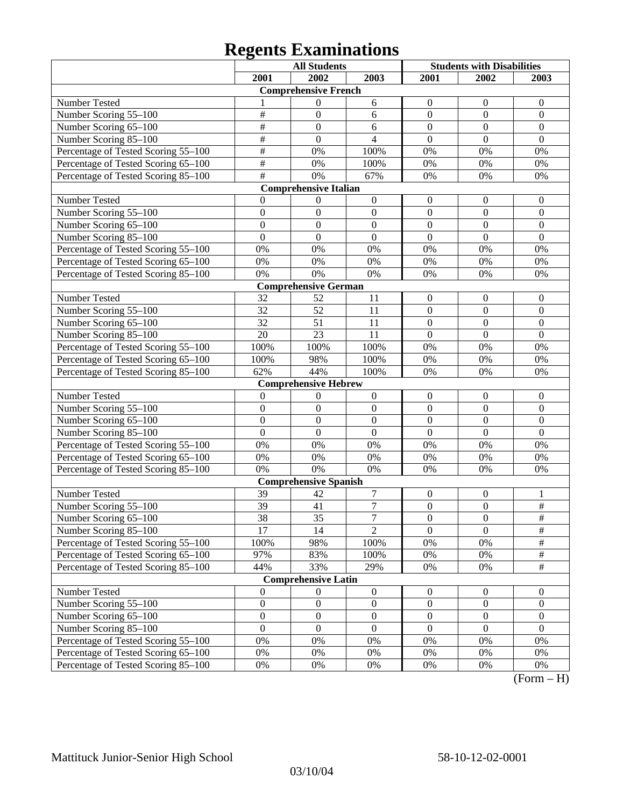|                                     |                  | <b>All Students</b>          |                  | <b>Students with Disabilities</b> |                  |                  |
|-------------------------------------|------------------|------------------------------|------------------|-----------------------------------|------------------|------------------|
|                                     | 2001             | 2002                         | 2003             | 2001                              | 2002             | 2003             |
|                                     |                  | <b>Comprehensive French</b>  |                  |                                   |                  |                  |
| Number Tested                       |                  | 0                            | 6                | $\mathbf{0}$                      | $\boldsymbol{0}$ | $\theta$         |
| Number Scoring 55-100               | $\overline{\#}$  | $\mathbf{0}$                 | 6                | $\overline{0}$                    | $\boldsymbol{0}$ | $\boldsymbol{0}$ |
| Number Scoring 65-100               | $\overline{\#}$  | $\overline{0}$               | 6                | $\overline{0}$                    | $\overline{0}$   | $\mathbf{0}$     |
| Number Scoring 85-100               | $\overline{\#}$  | $\boldsymbol{0}$             | $\overline{4}$   | $\overline{0}$                    | $\overline{0}$   | $\overline{0}$   |
| Percentage of Tested Scoring 55-100 | $\overline{\#}$  | 0%                           | 100%             | 0%                                | 0%               | 0%               |
| Percentage of Tested Scoring 65-100 | $\overline{\#}$  | 0%                           | 100%             | 0%                                | 0%               | 0%               |
| Percentage of Tested Scoring 85-100 | $\overline{\#}$  | 0%                           | 67%              | 0%                                | 0%               | 0%               |
|                                     |                  | <b>Comprehensive Italian</b> |                  |                                   |                  |                  |
| Number Tested                       | $\Omega$         | $\boldsymbol{0}$             | $\boldsymbol{0}$ | $\boldsymbol{0}$                  | $\boldsymbol{0}$ | $\boldsymbol{0}$ |
| Number Scoring 55-100               | $\overline{0}$   | $\mathbf{0}$                 | $\mathbf{0}$     | $\overline{0}$                    | $\boldsymbol{0}$ | $\boldsymbol{0}$ |
| Number Scoring 65-100               | $\overline{0}$   | $\mathbf{0}$                 | $\mathbf{0}$     | $\overline{0}$                    | $\overline{0}$   | $\boldsymbol{0}$ |
| Number Scoring 85-100               | $\overline{0}$   | $\mathbf{0}$                 | $\mathbf{0}$     | $\overline{0}$                    | $\overline{0}$   | $\mathbf{0}$     |
| Percentage of Tested Scoring 55-100 | 0%               | 0%                           | 0%               | 0%                                | 0%               | 0%               |
| Percentage of Tested Scoring 65-100 | $0\%$            | 0%                           | 0%               | 0%                                | 0%               | 0%               |
| Percentage of Tested Scoring 85-100 | 0%               | 0%                           | 0%               | 0%                                | 0%               | 0%               |
|                                     |                  | <b>Comprehensive German</b>  |                  |                                   |                  |                  |
| Number Tested                       | 32               | 52                           | 11               | $\boldsymbol{0}$                  | $\boldsymbol{0}$ | $\boldsymbol{0}$ |
| Number Scoring 55-100               | $\overline{32}$  | $\overline{52}$              | 11               | $\boldsymbol{0}$                  | $\boldsymbol{0}$ | $\boldsymbol{0}$ |
| Number Scoring 65-100               | $\overline{32}$  | $\overline{51}$              | 11               | $\overline{0}$                    | $\overline{0}$   | $\overline{0}$   |
| Number Scoring 85-100               | $\overline{20}$  | $\overline{23}$              | 11               | $\overline{0}$                    | $\overline{0}$   | $\overline{0}$   |
| Percentage of Tested Scoring 55-100 | 100%             | 100%                         | 100%             | 0%                                | 0%               | 0%               |
| Percentage of Tested Scoring 65-100 | 100%             | 98%                          | 100%             | 0%                                | 0%               | 0%               |
| Percentage of Tested Scoring 85-100 | 62%              | 44%                          | 100%             | 0%                                | 0%               | 0%               |
|                                     |                  | <b>Comprehensive Hebrew</b>  |                  |                                   |                  |                  |
| Number Tested                       | $\mathbf{0}$     | $\boldsymbol{0}$             | $\boldsymbol{0}$ | $\boldsymbol{0}$                  | $\boldsymbol{0}$ | $\boldsymbol{0}$ |
| Number Scoring 55-100               | $\overline{0}$   | $\mathbf{0}$                 | $\mathbf{0}$     | $\overline{0}$                    | $\overline{0}$   | $\boldsymbol{0}$ |
| Number Scoring 65-100               | $\overline{0}$   | $\mathbf{0}$                 | $\overline{0}$   | $\overline{0}$                    | $\overline{0}$   | $\boldsymbol{0}$ |
| Number Scoring 85-100               | $\overline{0}$   | $\boldsymbol{0}$             | $\mathbf{0}$     | $\overline{0}$                    | $\overline{0}$   | $\mathbf{0}$     |
| Percentage of Tested Scoring 55-100 | $0\%$            | 0%                           | 0%               | 0%                                | 0%               | 0%               |
| Percentage of Tested Scoring 65-100 | $0\%$            | 0%                           | 0%               | 0%                                | 0%               | 0%               |
| Percentage of Tested Scoring 85-100 | 0%               | 0%                           | 0%               | 0%                                | 0%               | 0%               |
|                                     |                  | <b>Comprehensive Spanish</b> |                  |                                   |                  |                  |
| Number Tested                       | 39               | 42                           | $\boldsymbol{7}$ | $\boldsymbol{0}$                  | $\boldsymbol{0}$ | 1                |
| Number Scoring 55-100               | 39               | 41                           | $\overline{7}$   | $\overline{0}$                    | $\overline{0}$   | $\frac{1}{2}$    |
| Number Scoring 65–100               | 38               | $\overline{35}$              | $\overline{7}$   | $\theta$                          | $\theta$         | $\overline{\#}$  |
| Number Scoring 85-100               | 17               | 14                           | $\overline{2}$   | $\overline{0}$                    | $\overline{0}$   | $\frac{1}{2}$    |
| Percentage of Tested Scoring 55-100 | 100%             | 98%                          | 100%             | 0%                                | 0%               | $\#$             |
| Percentage of Tested Scoring 65-100 | 97%              | 83%                          | 100%             | $0\%$                             | 0%               | $\frac{1}{2}$    |
| Percentage of Tested Scoring 85-100 | 44%              | 33%                          | 29%              | $0\%$                             | 0%               | $\frac{1}{2}$    |
|                                     |                  | <b>Comprehensive Latin</b>   |                  |                                   |                  |                  |
| Number Tested                       | $\mathbf{0}$     | $\boldsymbol{0}$             | $\boldsymbol{0}$ | $\mathbf{0}$                      | $\mathbf{0}$     | $\boldsymbol{0}$ |
| Number Scoring 55-100               | $\boldsymbol{0}$ | $\boldsymbol{0}$             | $\boldsymbol{0}$ | $\boldsymbol{0}$                  | $\boldsymbol{0}$ | $\boldsymbol{0}$ |
| Number Scoring 65-100               | $\boldsymbol{0}$ | $\boldsymbol{0}$             | $\boldsymbol{0}$ | $\boldsymbol{0}$                  | $\boldsymbol{0}$ | $\overline{0}$   |
| Number Scoring 85-100               | $\overline{0}$   | $\boldsymbol{0}$             | $\mathbf{0}$     | $\boldsymbol{0}$                  | $\boldsymbol{0}$ | $\overline{0}$   |
| Percentage of Tested Scoring 55-100 | $0\%$            | 0%                           | 0%               | 0%                                | $0\%$            | 0%               |
| Percentage of Tested Scoring 65-100 | $0\%$            | 0%                           | $0\%$            | 0%                                | 0%               | 0%               |
| Percentage of Tested Scoring 85-100 | $0\%$            | $0\%$                        | $0\%$            | $0\%$                             | $0\%$            | $0\%$            |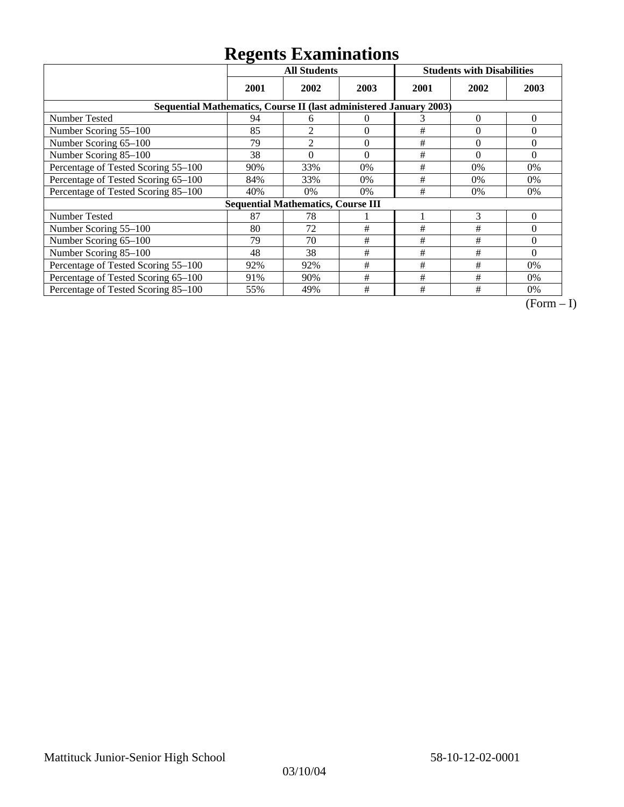|                                                                    | <b>All Students</b> |                                           |          | <b>Students with Disabilities</b> |          |                |
|--------------------------------------------------------------------|---------------------|-------------------------------------------|----------|-----------------------------------|----------|----------------|
|                                                                    | 2001                | 2002                                      | 2003     | 2001                              | 2002     | 2003           |
| Sequential Mathematics, Course II (last administered January 2003) |                     |                                           |          |                                   |          |                |
| Number Tested                                                      | 94                  | 6                                         | 0        | 3                                 | $\theta$ | $\overline{0}$ |
| Number Scoring 55-100                                              | 85                  | $\overline{2}$                            | $\theta$ | $\#$                              | $\theta$ | $\Omega$       |
| Number Scoring 65-100                                              | 79                  | $\overline{2}$                            | $\theta$ | #                                 | $\theta$ | $\Omega$       |
| Number Scoring 85-100                                              | 38                  | $\theta$                                  | $\theta$ | #                                 | $\theta$ | $\Omega$       |
| Percentage of Tested Scoring 55-100                                | 90%                 | 33%                                       | 0%       | #                                 | 0%       | 0%             |
| Percentage of Tested Scoring 65-100                                | 84%                 | 33%                                       | 0%       | #                                 | $0\%$    | $0\%$          |
| Percentage of Tested Scoring 85-100                                | 40%                 | 0%                                        | 0%       | #                                 | $0\%$    | 0%             |
|                                                                    |                     | <b>Sequential Mathematics, Course III</b> |          |                                   |          |                |
| <b>Number Tested</b>                                               | 87                  | 78                                        |          |                                   | 3        | $\theta$       |
| Number Scoring 55–100                                              | 80                  | 72                                        | #        | #                                 | #        | $\Omega$       |
| Number Scoring 65-100                                              | 79                  | 70                                        | #        | #                                 | #        | $\Omega$       |
| Number Scoring 85-100                                              | 48                  | 38                                        | #        | #                                 | #        | $\Omega$       |
| Percentage of Tested Scoring 55-100                                | 92%                 | 92%                                       | #        | #                                 | #        | $0\%$          |
| Percentage of Tested Scoring 65-100                                | 91%                 | 90%                                       | #        | #                                 | #        | $0\%$          |
| Percentage of Tested Scoring 85-100                                | 55%                 | 49%                                       | #        | #                                 | #        | $0\%$          |

 $\overline{(Form-I)}$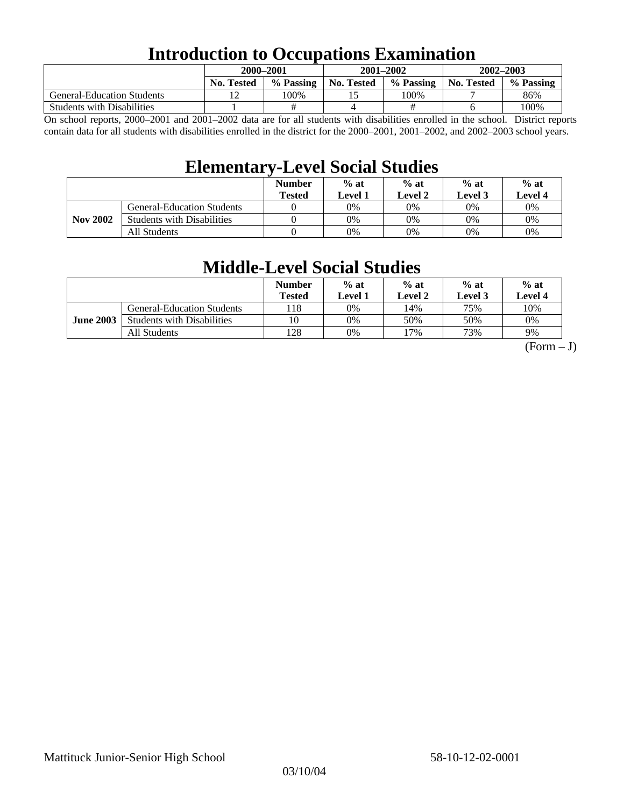### **Introduction to Occupations Examination**

|                                   | 2000-2001         |           | $2001 - 2002$ |                        | $2002 - 2003$ |           |  |
|-----------------------------------|-------------------|-----------|---------------|------------------------|---------------|-----------|--|
|                                   | <b>No. Tested</b> | % Passing | No. Tested    | % Passing   No. Tested |               | % Passing |  |
| <b>General-Education Students</b> |                   | 100%      |               | 100%                   |               | 86%       |  |
| <b>Students with Disabilities</b> |                   |           |               |                        |               | 100%      |  |

On school reports, 2000–2001 and 2001–2002 data are for all students with disabilities enrolled in the school. District reports contain data for all students with disabilities enrolled in the district for the 2000–2001, 2001–2002, and 2002–2003 school years.

### **Elementary-Level Social Studies**

|                 |                                   | <b>Number</b><br><b>Tested</b> | $%$ at<br>Level 1 | $%$ at<br>$%$ at<br>Level 2<br>Level 3 |    | $%$ at<br><b>Level 4</b> |
|-----------------|-----------------------------------|--------------------------------|-------------------|----------------------------------------|----|--------------------------|
| <b>Nov 2002</b> | General-Education Students        |                                | 0%                | $0\%$                                  | 0% | 0%                       |
|                 | <b>Students with Disabilities</b> |                                | 0%                | $0\%$                                  | 0% | $0\%$                    |
|                 | All Students                      |                                | 0%                | $0\%$                                  | 0% | $0\%$                    |

### **Middle-Level Social Studies**

|                  |                                   | <b>Number</b><br>Tested | $%$ at<br>evel 1. | $%$ at<br>Level 2 | $%$ at<br>Level 3 | $%$ at<br>Level 4 |
|------------------|-----------------------------------|-------------------------|-------------------|-------------------|-------------------|-------------------|
| <b>June 2003</b> | <b>General-Education Students</b> | l 18                    | 0%                | 14%               | 75%               | 10%               |
|                  | <b>Students with Disabilities</b> | 10                      | 0%                | 50%               | 50%               | 0%                |
|                  | All Students                      | 128                     | 0%                | 7%                | 73%               | 9%                |

 $(Form - J)$